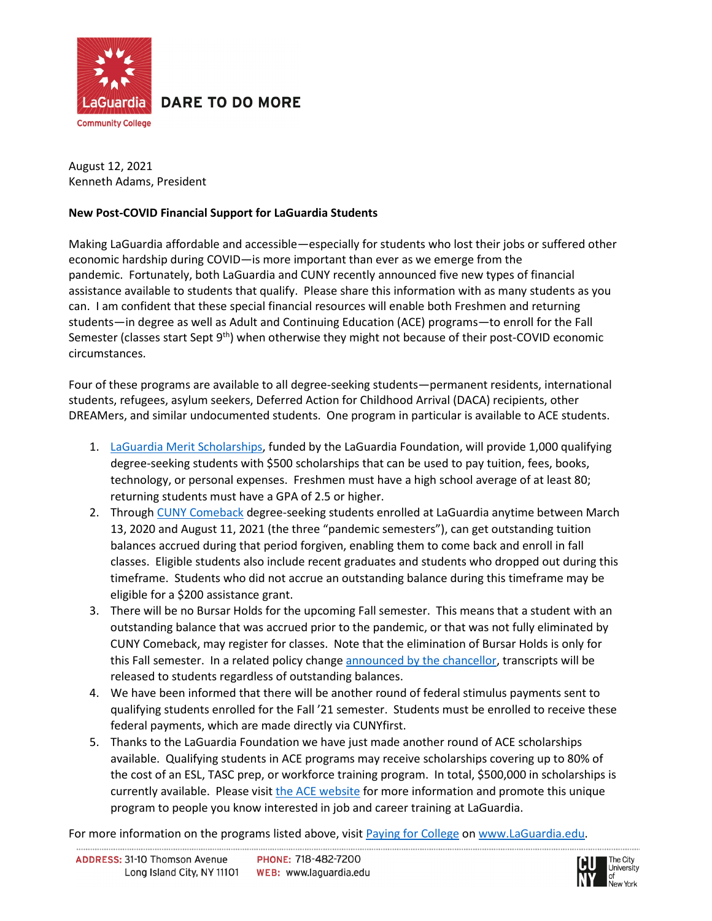

**DARE TO DO MORE** 

August 12, 2021 Kenneth Adams, President

## **New Post-COVID Financial Support for LaGuardia Students**

Making LaGuardia affordable and accessible—especially for students who lost their jobs or suffered other economic hardship during COVID—is more important than ever as we emerge from the pandemic. Fortunately, both LaGuardia and CUNY recently announced five new types of financial assistance available to students that qualify. Please share this information with as many students as you can. I am confident that these special financial resources will enable both Freshmen and returning students—in degree as well as Adult and Continuing Education (ACE) programs—to enroll for the Fall Semester (classes start Sept 9<sup>th</sup>) when otherwise they might not because of their post-COVID economic circumstances.

Four of these programs are available to all degree-seeking students—permanent residents, international students, refugees, asylum seekers, Deferred Action for Childhood Arrival (DACA) recipients, other DREAMers, and similar undocumented students. One program in particular is available to ACE students.

- 1. [LaGuardia Merit Scholarships,](https://www.laguardia.edu/uploadedfiles/main_site/content/financial_services/docs/merit-scholarships.pdf) funded by the LaGuardia Foundation, will provide 1,000 qualifying degree-seeking students with \$500 scholarships that can be used to pay tuition, fees, books, technology, or personal expenses. Freshmen must have a high school average of at least 80; returning students must have a GPA of 2.5 or higher.
- 2. Through [CUNY Comeback](https://www1.cuny.edu/mu/forum/2021/08/11/cuny-will-stop-long-held-practice-of-holding-transcripts-for-students-with-outstanding-debt-will-lift-financial-holds-for-students-impacted-by-the-pandemic/) degree-seeking students enrolled at LaGuardia anytime between March 13, 2020 and August 11, 2021 (the three "pandemic semesters"), can get outstanding tuition balances accrued during that period forgiven, enabling them to come back and enroll in fall classes. Eligible students also include recent graduates and students who dropped out during this timeframe. Students who did not accrue an outstanding balance during this timeframe may be eligible for a \$200 assistance grant.
- 3. There will be no Bursar Holds for the upcoming Fall semester. This means that a student with an outstanding balance that was accrued prior to the pandemic, or that was not fully eliminated by CUNY Comeback, may register for classes. Note that the elimination of Bursar Holds is only for this Fall semester. In a related policy chang[e announced by the chancellor,](https://www1.cuny.edu/mu/forum/2021/08/11/cuny-will-stop-long-held-practice-of-holding-transcripts-for-students-with-outstanding-debt-will-lift-financial-holds-for-students-impacted-by-the-pandemic/) transcripts will be released to students regardless of outstanding balances.
- 4. We have been informed that there will be another round of federal stimulus payments sent to qualifying students enrolled for the Fall '21 semester. Students must be enrolled to receive these federal payments, which are made directly via CUNYfirst.
- 5. Thanks to the LaGuardia Foundation we have just made another round of ACE scholarships available. Qualifying students in ACE programs may receive scholarships covering up to 80% of the cost of an ESL, TASC prep, or workforce training program. In total, \$500,000 in scholarships is currently available. Please visit [the ACE website](https://www.laguardia.edu/acescholarship/) for more information and promote this unique program to people you know interested in job and career training at LaGuardia.

For more information on the programs listed above, visi[t Paying for College](https://www.laguardia.edu/payingforcollege/) o[n www.LaGuardia.edu.](http://www.laguardia.edu/)